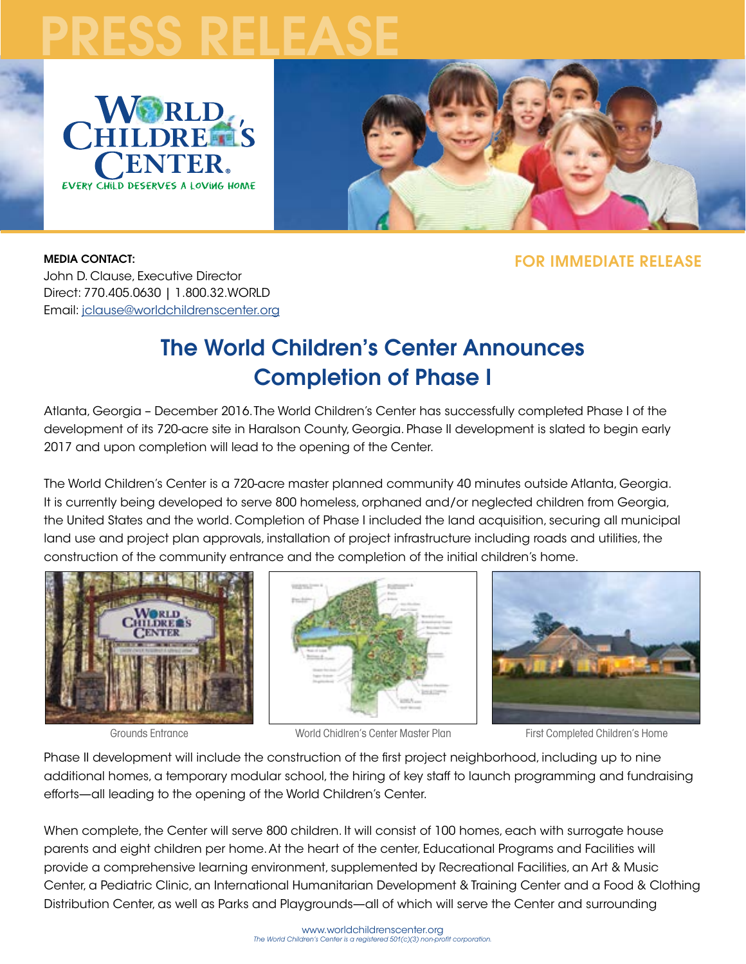# PRESS RELEASE





#### MEDIA CONTACT:

FOR IMMEDIATE RELEASE

John D. Clause, Executive Director Direct: 770.405.0630 | 1.800.32.WORLD Email: [jclause@worldchildrenscenter.org](mailto:jclause%40worldchildrenscenter.org?subject=RE%3A%20World%20Children%27s%20Center%20Completes%20Phase%20I)

# The World Children's Center Announces Completion of Phase I

Atlanta, Georgia – December 2016. The World Children's Center has successfully completed Phase I of the development of its 720-acre site in Haralson County, Georgia. Phase II development is slated to begin early 2017 and upon completion will lead to the opening of the Center.

The World Children's Center is a 720-acre master planned community 40 minutes outside Atlanta, Georgia. It is currently being developed to serve 800 homeless, orphaned and/or neglected children from Georgia, the United States and the world. Completion of Phase I included the land acquisition, securing all municipal land use and project plan approvals, installation of project infrastructure including roads and utilities, the construction of the community entrance and the completion of the initial children's home.









Phase II development will include the construction of the first project neighborhood, including up to nine additional homes, a temporary modular school, the hiring of key staff to launch programming and fundraising efforts—all leading to the opening of the World Children's Center.

When complete, the Center will serve 800 children. It will consist of 100 homes, each with surrogate house parents and eight children per home. At the heart of the center, Educational Programs and Facilities will provide a comprehensive learning environment, supplemented by Recreational Facilities, an Art & Music Center, a Pediatric Clinic, an International Humanitarian Development & Training Center and a Food & Clothing Distribution Center, as well as Parks and Playgrounds—all of which will serve the Center and surrounding